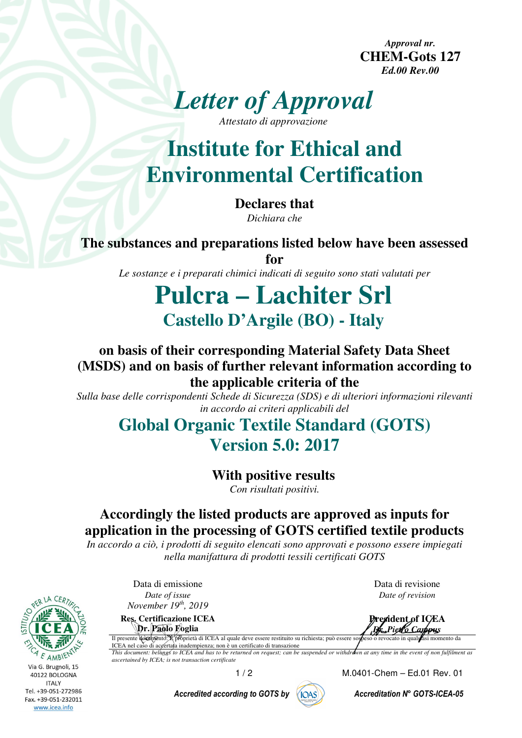*Approval nr.*  **CHEM-Gots 127**  *Ed.00 Rev.00* 



**Institute for Ethical and Environmental Certification** 

> **Declares that**  *Dichiara che*

**The substances and preparations listed below have been assessed** 

**for**  *Le sostanze e i preparati chimici indicati di seguito sono stati valutati per* 

# **Pulcra – Lachiter Srl Castello D'Argile (BO) - Italy**

### **on basis of their corresponding Material Safety Data Sheet (MSDS) and on basis of further relevant information according to the applicable criteria of the**

*Sulla base delle corrispondenti Schede di Sicurezza (SDS) e di ulteriori informazioni rilevanti in accordo ai criteri applicabili del* 

## **Global Organic Textile Standard (GOTS) Version 5.0: 2017**

**With positive results** 

*Con risultati positivi.* 

### **Accordingly the listed products are approved as inputs for application in the processing of GOTS certified textile products**

*In accordo a ciò, i prodotti di seguito elencati sono approvati e possono essere impiegati nella manifattura di prodotti tessili certificati GOTS* 

Via G. Brugnoli, 15 40122 BOLOGNA **ITALY** Tel. +39-051-272986 Fax. +39-051-232011 www.icea.info

Data di emissione *Date of issue November 19th, 2019*

**Res. Certificazione ICEA Dr. Paolo Foglia** 

Data di revisione *Date of revision*

**President of ICEA**  *Dr. Pietro Campus* Il presente documento: È proprietà di ICEA al quale deve essere restituito su richiesta; può essere sospeso o revocato in qualsiasi momento da

ICEA nel caso di accertata inadempienza; non è un certificato di transazione *This document: belongs to ICEA and has to be returned on request; can be suspended or withdrawn at any time in the event of non fulfilment as ascertained by ICEA; is not transaction certificate*

Accredited according to GOTS by  $\sqrt{\left(\frac{1}{10} + \frac{1}{10}\right)}$  Accreditation N° GOTS-ICEA-05



1 / 2 M.0401-Chem – Ed.01 Rev. 01